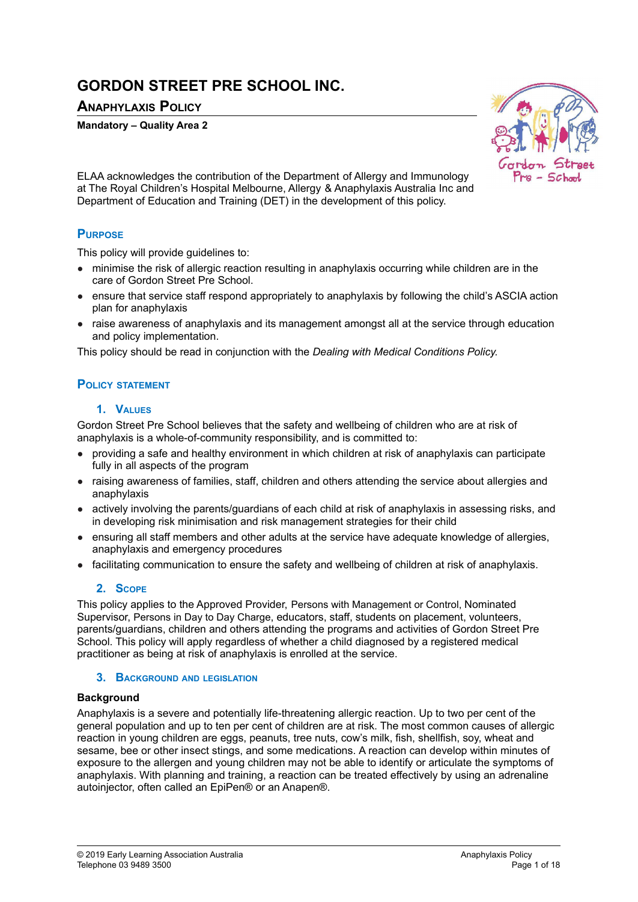# **GORDON STREET PRE SCHOOL INC.**

# **ANAPHYLAXIS POLICY**

#### **Mandatory – Quality Area 2**



ELAA acknowledges the contribution of the Department of Allergy and Immunology at The Royal Children's Hospital Melbourne, Allergy & Anaphylaxis Australia Inc and Department of Education and Training (DET) in the development of this policy.

# **PURPOSE**

This policy will provide guidelines to:

- minimise the risk of allergic reaction resulting in anaphylaxis occurring while children are in the care of Gordon Street Pre School.
- ensure that service staff respond appropriately to anaphylaxis by following the child's ASCIA action plan for anaphylaxis
- raise awareness of anaphylaxis and its management amongst all at the service through education and policy implementation.

This policy should be read in conjunction with the *Dealing with Medical Conditions Policy.*

### **POLICY STATEMENT**

#### **1. VALUES**

Gordon Street Pre School believes that the safety and wellbeing of children who are at risk of anaphylaxis is a whole-of-community responsibility, and is committed to:

- providing a safe and healthy environment in which children at risk of anaphylaxis can participate fully in all aspects of the program
- raising awareness of families, staff, children and others attending the service about allergies and anaphylaxis
- actively involving the parents/guardians of each child at risk of anaphylaxis in assessing risks, and in developing risk minimisation and risk management strategies for their child
- ensuring all staff members and other adults at the service have adequate knowledge of allergies, anaphylaxis and emergency procedures
- facilitating communication to ensure the safety and wellbeing of children at risk of anaphylaxis.

### **2. SCOPE**

This policy applies to the Approved Provider, Persons with Management or Control, Nominated Supervisor, Persons in Day to Day Charge, educators, staff, students on placement, volunteers, parents/guardians, children and others attending the programs and activities of Gordon Street Pre School. This policy will apply regardless of whether a child diagnosed by a registered medical practitioner as being at risk of anaphylaxis is enrolled at the service.

## **3. BACKGROUND AND LEGISLATION**

#### **Background**

Anaphylaxis is a severe and potentially life-threatening allergic reaction. Up to two per cent of the general population and up to ten per cent of children are at risk. The most common causes of allergic reaction in young children are eggs, peanuts, tree nuts, cow's milk, fish, shellfish, soy, wheat and sesame, bee or other insect stings, and some medications. A reaction can develop within minutes of exposure to the allergen and young children may not be able to identify or articulate the symptoms of anaphylaxis. With planning and training, a reaction can be treated effectively by using an adrenaline autoinjector, often called an EpiPen® or an Anapen®.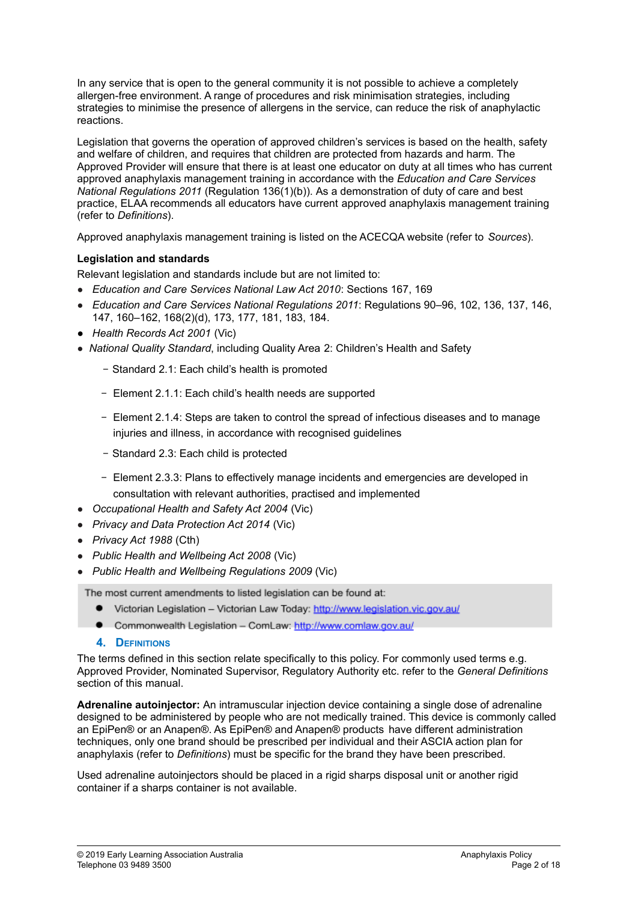In any service that is open to the general community it is not possible to achieve a completely allergen-free environment. A range of procedures and risk minimisation strategies, including strategies to minimise the presence of allergens in the service, can reduce the risk of anaphylactic reactions.

Legislation that governs the operation of approved children's services is based on the health, safety and welfare of children, and requires that children are protected from hazards and harm. The Approved Provider will ensure that there is at least one educator on duty at all times who has current approved anaphylaxis management training in accordance with the *Education and Care Services National Regulations 2011* (Regulation 136(1)(b)). As a demonstration of duty of care and best practice, ELAA recommends all educators have current approved anaphylaxis management training (refer to *Definitions*).

Approved anaphylaxis management training is listed on the ACECQA website (refer to *Sources*).

### **Legislation and standards**

Relevant legislation and standards include but are not limited to:

- *Education and Care Services National Law Act 2010*: Sections 167, 169
- *Education and Care Services National Regulations 2011*: Regulations 90–96, 102, 136, 137, 146, 147, 160–162, 168(2)(d), 173, 177, 181, 183, 184.
- *Health Records Act 2001* (Vic)
- *National Quality Standard*, including Quality Area 2: Children's Health and Safety
	- − Standard 2.1: Each child's health is promoted
	- − Element 2.1.1: Each child's health needs are supported
	- − Element 2.1.4: Steps are taken to control the spread of infectious diseases and to manage injuries and illness, in accordance with recognised guidelines
	- − Standard 2.3: Each child is protected
	- − Element 2.3.3: Plans to effectively manage incidents and emergencies are developed in consultation with relevant authorities, practised and implemented
- *Occupational Health and Safety Act 2004* (Vic)
- *Privacy and Data Protection Act 2014* (Vic)
- *Privacy Act 1988* (Cth)
- *Public Health and Wellbeing Act 2008* (Vic)
- *Public Health and Wellbeing Regulations 2009* (Vic)

The most current amendments to listed legislation can be found at:

- Victorian Legislation Victorian Law Today: http://www.legislation.vic.gov.au/
- Commonwealth Legislation ComLaw: http://www.comlaw.gov.au/
- **4. DEFINITIONS**

The terms defined in this section relate specifically to this policy. For commonly used terms e.g. Approved Provider, Nominated Supervisor, Regulatory Authority etc. refer to the *General Definitions* section of this manual.

**Adrenaline autoinjector:** An intramuscular injection device containing a single dose of adrenaline designed to be administered by people who are not medically trained. This device is commonly called an EpiPen® or an Anapen®. As EpiPen® and Anapen® products have different administration techniques, only one brand should be prescribed per individual and their ASCIA action plan for anaphylaxis (refer to *Definitions*) must be specific for the brand they have been prescribed.

Used adrenaline autoinjectors should be placed in a rigid sharps disposal unit or another rigid container if a sharps container is not available.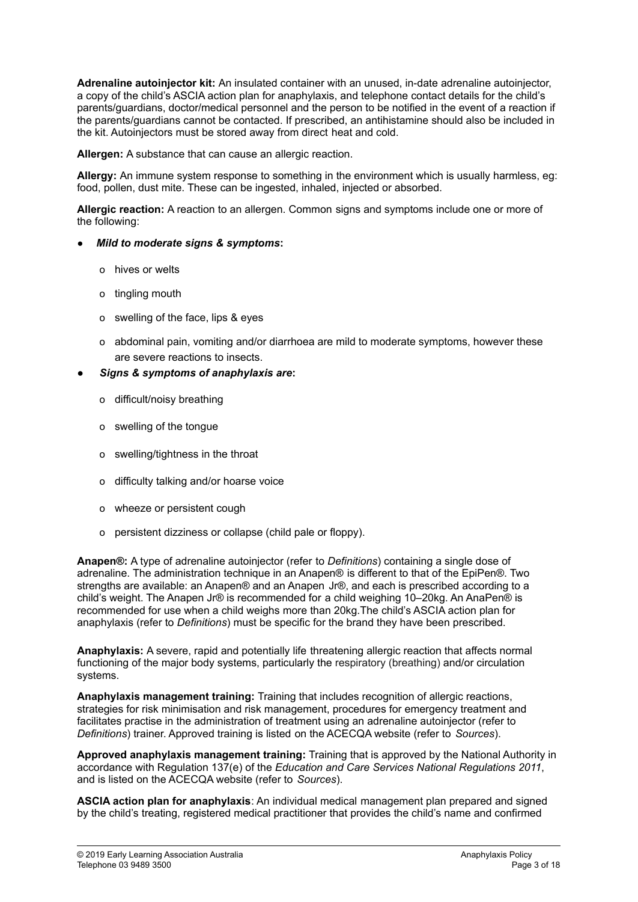**Adrenaline autoinjector kit:** An insulated container with an unused, in-date adrenaline autoinjector, a copy of the child's ASCIA action plan for anaphylaxis, and telephone contact details for the child's parents/guardians, doctor/medical personnel and the person to be notified in the event of a reaction if the parents/guardians cannot be contacted. If prescribed, an antihistamine should also be included in the kit. Autoinjectors must be stored away from direct heat and cold.

**Allergen:** A substance that can cause an allergic reaction.

**Allergy:** An immune system response to something in the environment which is usually harmless, eg: food, pollen, dust mite. These can be ingested, inhaled, injected or absorbed.

**Allergic reaction:** A reaction to an allergen. Common signs and symptoms include one or more of the following:

- *Mild to moderate signs & symptoms***:**
	- ο hives or welts
	- ο tingling mouth
	- ο swelling of the face, lips & eyes
	- ο abdominal pain, vomiting and/or diarrhoea are mild to moderate symptoms, however these are severe reactions to insects.
- **●** *Signs & symptoms of anaphylaxis are***:**
	- ο difficult/noisy breathing
	- ο swelling of the tongue
	- ο swelling/tightness in the throat
	- ο difficulty talking and/or hoarse voice
	- ο wheeze or persistent cough
	- ο persistent dizziness or collapse (child pale or floppy).

**Anapen®:** A type of adrenaline autoinjector (refer to *Definitions*) containing a single dose of adrenaline. The administration technique in an Anapen® is different to that of the EpiPen®. Two strengths are available: an Anapen® and an Anapen Jr®, and each is prescribed according to a child's weight. The Anapen Jr® is recommended for a child weighing 10–20kg. An AnaPen® is recommended for use when a child weighs more than 20kg.The child's ASCIA action plan for anaphylaxis (refer to *Definitions*) must be specific for the brand they have been prescribed.

**Anaphylaxis:** A severe, rapid and potentially life threatening allergic reaction that affects normal functioning of the major body systems, particularly the respiratory (breathing) and/or circulation systems.

**Anaphylaxis management training:** Training that includes recognition of allergic reactions, strategies for risk minimisation and risk management, procedures for emergency treatment and facilitates practise in the administration of treatment using an adrenaline autoinjector (refer to *Definitions*) trainer. Approved training is listed on the ACECQA website (refer to *Sources*).

**Approved anaphylaxis management training:** Training that is approved by the National Authority in accordance with Regulation 137(e) of the *Education and Care Services National Regulations 2011*, and is listed on the ACECQA website (refer to *Sources*).

**ASCIA action plan for anaphylaxis**: An individual medical management plan prepared and signed by the child's treating, registered medical practitioner that provides the child's name and confirmed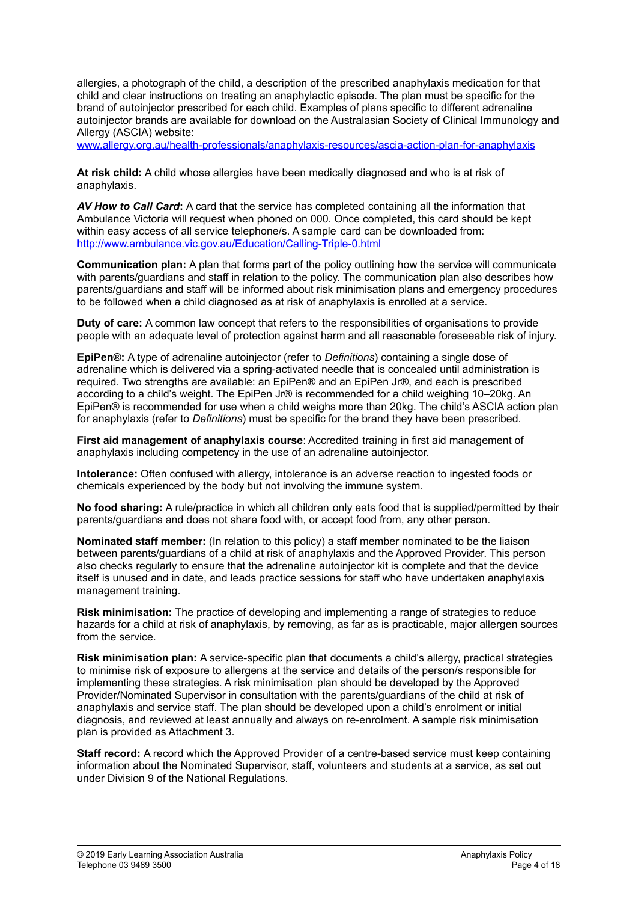allergies, a photograph of the child, a description of the prescribed anaphylaxis medication for that child and clear instructions on treating an anaphylactic episode. The plan must be specific for the brand of autoinjector prescribed for each child. Examples of plans specific to different adrenaline autoinjector brands are available for download on the Australasian Society of Clinical Immunology and Allergy (ASCIA) website:

[www.allergy.org.au/health-professionals/anaphylaxis-resources/ascia-action-plan-for-anaphylaxis](http://www.allergy.org.au/health-professionals/anaphylaxis-resources/ascia-action-plan-for-anaphylaxis)

**At risk child:** A child whose allergies have been medically diagnosed and who is at risk of anaphylaxis.

*AV How to Call Card***:** A card that the service has completed containing all the information that Ambulance Victoria will request when phoned on 000. Once completed, this card should be kept within easy access of all service telephone/s. A sample card can be downloaded from: <http://www.ambulance.vic.gov.au/Education/Calling-Triple-0.html>

**Communication plan:** A plan that forms part of the policy outlining how the service will communicate with parents/guardians and staff in relation to the policy. The communication plan also describes how parents/guardians and staff will be informed about risk minimisation plans and emergency procedures to be followed when a child diagnosed as at risk of anaphylaxis is enrolled at a service.

**Duty of care:** A common law concept that refers to the responsibilities of organisations to provide people with an adequate level of protection against harm and all reasonable foreseeable risk of injury.

**EpiPen®:** A type of adrenaline autoinjector (refer to *Definitions*) containing a single dose of adrenaline which is delivered via a spring-activated needle that is concealed until administration is required. Two strengths are available: an EpiPen® and an EpiPen Jr®, and each is prescribed according to a child's weight. The EpiPen Jr® is recommended for a child weighing 10–20kg. An EpiPen® is recommended for use when a child weighs more than 20kg. The child's ASCIA action plan for anaphylaxis (refer to *Definitions*) must be specific for the brand they have been prescribed.

**First aid management of anaphylaxis course**: Accredited training in first aid management of anaphylaxis including competency in the use of an adrenaline autoinjector.

**Intolerance:** Often confused with allergy, intolerance is an adverse reaction to ingested foods or chemicals experienced by the body but not involving the immune system.

**No food sharing:** A rule/practice in which all children only eats food that is supplied/permitted by their parents/guardians and does not share food with, or accept food from, any other person.

**Nominated staff member:** (In relation to this policy) a staff member nominated to be the liaison between parents/guardians of a child at risk of anaphylaxis and the Approved Provider. This person also checks regularly to ensure that the adrenaline autoinjector kit is complete and that the device itself is unused and in date, and leads practice sessions for staff who have undertaken anaphylaxis management training.

**Risk minimisation:** The practice of developing and implementing a range of strategies to reduce hazards for a child at risk of anaphylaxis, by removing, as far as is practicable, major allergen sources from the service.

**Risk minimisation plan:** A service-specific plan that documents a child's allergy, practical strategies to minimise risk of exposure to allergens at the service and details of the person/s responsible for implementing these strategies. A risk minimisation plan should be developed by the Approved Provider/Nominated Supervisor in consultation with the parents/guardians of the child at risk of anaphylaxis and service staff. The plan should be developed upon a child's enrolment or initial diagnosis, and reviewed at least annually and always on re-enrolment. A sample risk minimisation plan is provided as Attachment 3.

**Staff record:** A record which the Approved Provider of a centre-based service must keep containing information about the Nominated Supervisor, staff, volunteers and students at a service, as set out under Division 9 of the National Regulations.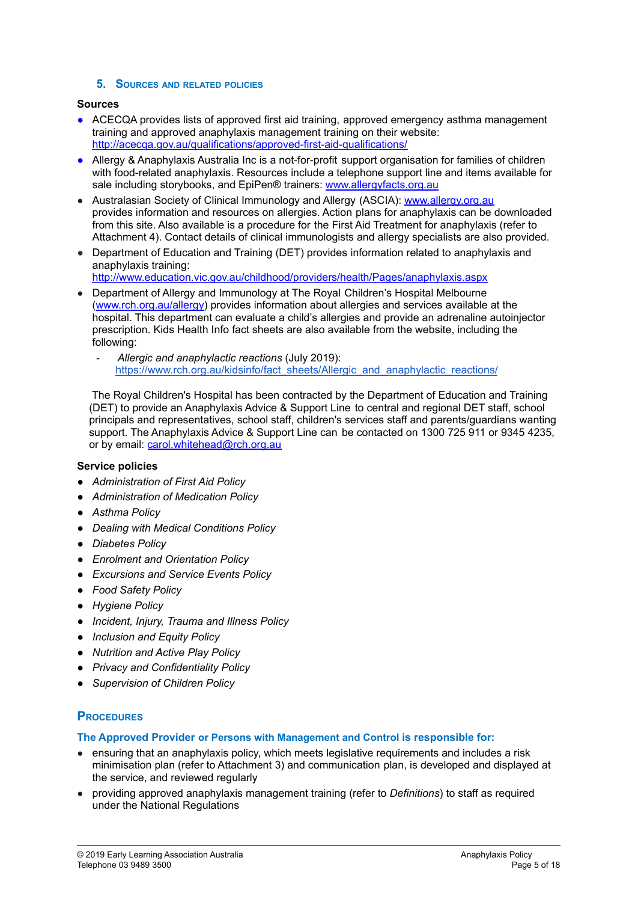#### **5. SOURCES AND RELATED POLICIES**

#### **Sources**

- ACECQA provides lists of approved first aid training, approved emergency asthma management training and approved anaphylaxis management training on their website: <http://acecqa.gov.au/qualifications/approved-first-aid-qualifications/>
- Allergy & Anaphylaxis Australia Inc is a not-for-profit support organisation for families of children with food-related anaphylaxis. Resources include a telephone support line and items available for sale including storybooks, and EpiPen® trainers: [www.allergyfacts.org.au](http://www.allergyfacts.org.au)
- Australasian Society of Clinical Immunology and Allergy (ASCIA): [www.allergy.org.au](http://www.allergy.org.au) provides information and resources on allergies. Action plans for anaphylaxis can be downloaded from this site. Also available is a procedure for the First Aid Treatment for anaphylaxis (refer to Attachment 4). Contact details of clinical immunologists and allergy specialists are also provided.
- Department of Education and Training (DET) provides information related to anaphylaxis and anaphylaxis training:

<http://www.education.vic.gov.au/childhood/providers/health/Pages/anaphylaxis.aspx>

- Department of Allergy and Immunology at The Royal Children's Hospital Melbourne ([www.rch.org.au/allergy\)](http://www.rch.org.au/allergy) provides information about allergies and services available at the hospital. This department can evaluate a child's allergies and provide an adrenaline autoinjector prescription. Kids Health Info fact sheets are also available from the website, including the following:
	- *Allergic and anaphylactic reactions* (July 2019): [https://www.rch.org.au/kidsinfo/fact\\_sheets/Allergic\\_and\\_anaphylactic\\_reactions/](https://www.rch.org.au/kidsinfo/fact_sheets/Allergic_and_anaphylactic_reactions/)

The Royal Children's Hospital has been contracted by the Department of Education and Training (DET) to provide an Anaphylaxis Advice & Support Line to central and regional DET staff, school principals and representatives, school staff, children's services staff and parents/guardians wanting support. The Anaphylaxis Advice & Support Line can be contacted on 1300 725 911 or 9345 4235, or by email: [carol.whitehead@rch.org.au](mailto:carol.whitehead@rch.org.au)

### **Service policies**

- *● Administration of First Aid Policy*
- *● Administration of Medication Policy*
- *● Asthma Policy*
- *● Dealing with Medical Conditions Policy*
- *● Diabetes Policy*
- *● Enrolment and Orientation Policy*
- *● Excursions and Service Events Policy*
- *● Food Safety Policy*
- *● Hygiene Policy*
- *● Incident, Injury, Trauma and Illness Policy*
- *● Inclusion and Equity Policy*
- *● Nutrition and Active Play Policy*
- *● Privacy and Confidentiality Policy*
- *● Supervision of Children Policy*

# **PROCEDURES**

**The Approved Provider or Persons with Management and Control is responsible for:**

- ensuring that an anaphylaxis policy, which meets legislative requirements and includes a risk minimisation plan (refer to Attachment 3) and communication plan, is developed and displayed at the service, and reviewed regularly
- providing approved anaphylaxis management training (refer to *Definitions*) to staff as required under the National Regulations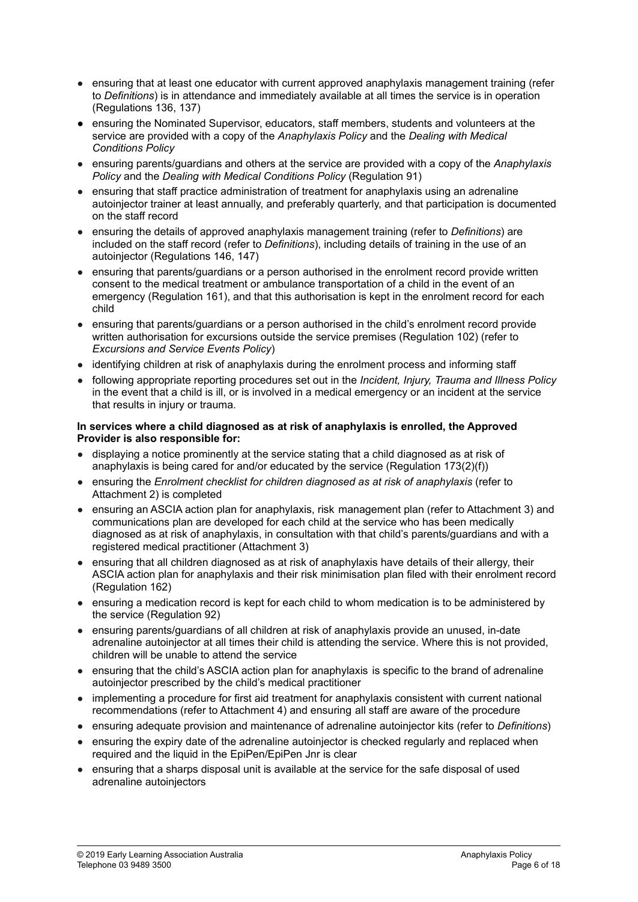- ensuring that at least one educator with current approved anaphylaxis management training (refer to *Definitions*) is in attendance and immediately available at all times the service is in operation (Regulations 136, 137)
- *●* ensuring the Nominated Supervisor, educators, staff members, students and volunteers at the service are provided with a copy of the *Anaphylaxis Policy* and the *Dealing with Medical Conditions Policy*
- ensuring parents/guardians and others at the service are provided with a copy of the *Anaphylaxis Policy* and the *Dealing with Medical Conditions Policy* (Regulation 91)
- ensuring that staff practice administration of treatment for anaphylaxis using an adrenaline autoinjector trainer at least annually, and preferably quarterly, and that participation is documented on the staff record
- ensuring the details of approved anaphylaxis management training (refer to *Definitions*) are included on the staff record (refer to *Definitions*), including details of training in the use of an autoinjector (Regulations 146, 147)
- ensuring that parents/guardians or a person authorised in the enrolment record provide written consent to the medical treatment or ambulance transportation of a child in the event of an emergency (Regulation 161), and that this authorisation is kept in the enrolment record for each child
- ensuring that parents/guardians or a person authorised in the child's enrolment record provide written authorisation for excursions outside the service premises (Regulation 102) (refer to *Excursions and Service Events Policy*)
- identifying children at risk of anaphylaxis during the enrolment process and informing staff
- following appropriate reporting procedures set out in the *Incident, Injury, Trauma and Illness Policy* in the event that a child is ill, or is involved in a medical emergency or an incident at the service that results in injury or trauma.

#### **In services where a child diagnosed as at risk of anaphylaxis is enrolled, the Approved Provider is also responsible for:**

- displaying a notice prominently at the service stating that a child diagnosed as at risk of anaphylaxis is being cared for and/or educated by the service (Regulation 173(2)(f))
- ensuring the *Enrolment checklist for children diagnosed as at risk of anaphylaxis* (refer to Attachment 2) is completed
- ensuring an ASCIA action plan for anaphylaxis, risk management plan (refer to Attachment 3) and communications plan are developed for each child at the service who has been medically diagnosed as at risk of anaphylaxis, in consultation with that child's parents/guardians and with a registered medical practitioner (Attachment 3)
- ensuring that all children diagnosed as at risk of anaphylaxis have details of their allergy, their ASCIA action plan for anaphylaxis and their risk minimisation plan filed with their enrolment record (Regulation 162)
- ensuring a medication record is kept for each child to whom medication is to be administered by the service (Regulation 92)
- ensuring parents/guardians of all children at risk of anaphylaxis provide an unused, in-date adrenaline autoinjector at all times their child is attending the service. Where this is not provided, children will be unable to attend the service
- ensuring that the child's ASCIA action plan for anaphylaxis is specific to the brand of adrenaline autoinjector prescribed by the child's medical practitioner
- implementing a procedure for first aid treatment for anaphylaxis consistent with current national recommendations (refer to Attachment 4) and ensuring all staff are aware of the procedure
- ensuring adequate provision and maintenance of adrenaline autoinjector kits (refer to *Definitions*)
- ensuring the expiry date of the adrenaline autoinjector is checked regularly and replaced when required and the liquid in the EpiPen/EpiPen Jnr is clear
- ensuring that a sharps disposal unit is available at the service for the safe disposal of used adrenaline autoinjectors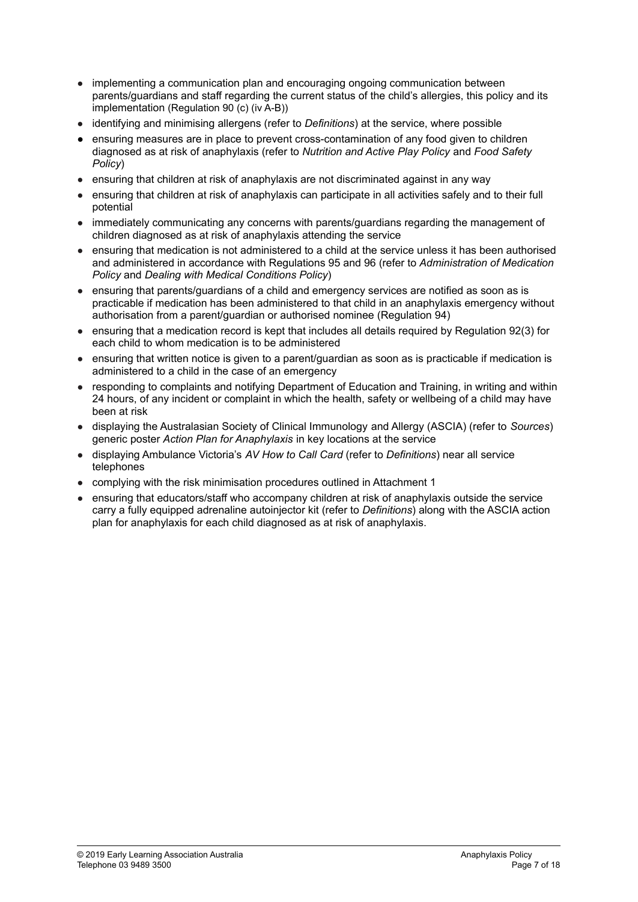- implementing a communication plan and encouraging ongoing communication between parents/guardians and staff regarding the current status of the child's allergies, this policy and its implementation (Regulation 90 (c) (iv A-B))
- identifying and minimising allergens (refer to *Definitions*) at the service, where possible
- *●* ensuring measures are in place to prevent cross-contamination of any food given to children diagnosed as at risk of anaphylaxis (refer to *Nutrition and Active Play Policy* and *Food Safety Policy*)
- ensuring that children at risk of anaphylaxis are not discriminated against in any way
- ensuring that children at risk of anaphylaxis can participate in all activities safely and to their full potential
- immediately communicating any concerns with parents/guardians regarding the management of children diagnosed as at risk of anaphylaxis attending the service
- ensuring that medication is not administered to a child at the service unless it has been authorised and administered in accordance with Regulations 95 and 96 (refer to *Administration of Medication Policy* and *Dealing with Medical Conditions Policy*)
- ensuring that parents/guardians of a child and emergency services are notified as soon as is practicable if medication has been administered to that child in an anaphylaxis emergency without authorisation from a parent/guardian or authorised nominee (Regulation 94)
- ensuring that a medication record is kept that includes all details required by Regulation 92(3) for each child to whom medication is to be administered
- ensuring that written notice is given to a parent/guardian as soon as is practicable if medication is administered to a child in the case of an emergency
- responding to complaints and notifying Department of Education and Training, in writing and within 24 hours, of any incident or complaint in which the health, safety or wellbeing of a child may have been at risk
- displaying the Australasian Society of Clinical Immunology and Allergy (ASCIA) (refer to *Sources*) generic poster *Action Plan for Anaphylaxis* in key locations at the service
- displaying Ambulance Victoria's *AV How to Call Card* (refer to *Definitions*) near all service telephones
- complying with the risk minimisation procedures outlined in Attachment 1
- ensuring that educators/staff who accompany children at risk of anaphylaxis outside the service carry a fully equipped adrenaline autoinjector kit (refer to *Definitions*) along with the ASCIA action plan for anaphylaxis for each child diagnosed as at risk of anaphylaxis.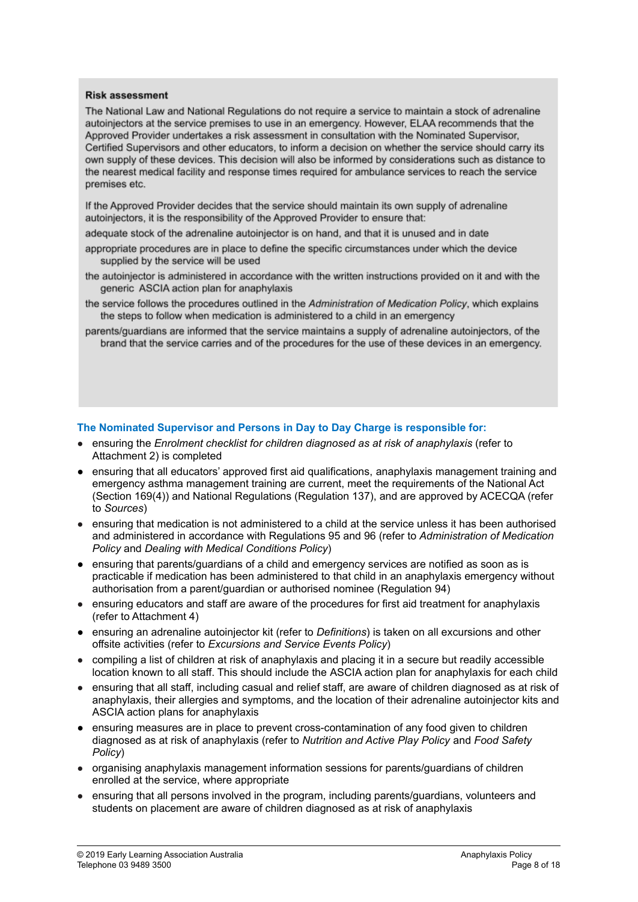#### **Risk assessment**

The National Law and National Regulations do not reguire a service to maintain a stock of adrenaline autoiniectors at the service premises to use in an emergency. However, ELAA recommends that the Approved Provider undertakes a risk assessment in consultation with the Nominated Supervisor, Certified Supervisors and other educators, to inform a decision on whether the service should carry its own supply of these devices. This decision will also be informed by considerations such as distance to the nearest medical facility and response times required for ambulance services to reach the service premises etc.

If the Approved Provider decides that the service should maintain its own supply of adrenaline autoinjectors, it is the responsibility of the Approved Provider to ensure that:

- adequate stock of the adrenaline autoinjector is on hand, and that it is unused and in date
- appropriate procedures are in place to define the specific circumstances under which the device supplied by the service will be used
- the autoinjector is administered in accordance with the written instructions provided on it and with the generic ASCIA action plan for anaphylaxis
- the service follows the procedures outlined in the Administration of Medication Policy, which explains the steps to follow when medication is administered to a child in an emergency
- parents/guardians are informed that the service maintains a supply of adrenaline autoinjectors, of the brand that the service carries and of the procedures for the use of these devices in an emergency.

#### **The Nominated Supervisor and Persons in Day to Day Charge is responsible for:**

- ensuring the *Enrolment checklist for children diagnosed as at risk of anaphylaxis* (refer to Attachment 2) is completed
- **●** ensuring that all educators' approved first aid qualifications, anaphylaxis management training and emergency asthma management training are current, meet the requirements of the National Act (Section 169(4)) and National Regulations (Regulation 137), and are approved by ACECQA (refer to *Sources*)
- ensuring that medication is not administered to a child at the service unless it has been authorised and administered in accordance with Regulations 95 and 96 (refer to *Administration of Medication Policy* and *Dealing with Medical Conditions Policy*)
- **●** ensuring that parents/guardians of a child and emergency services are notified as soon as is practicable if medication has been administered to that child in an anaphylaxis emergency without authorisation from a parent/guardian or authorised nominee (Regulation 94)
- ensuring educators and staff are aware of the procedures for first aid treatment for anaphylaxis (refer to Attachment 4)
- **●** ensuring an adrenaline autoinjector kit (refer to *Definitions*) is taken on all excursions and other offsite activities (refer to *Excursions and Service Events Policy*)
- compiling a list of children at risk of anaphylaxis and placing it in a secure but readily accessible location known to all staff. This should include the ASCIA action plan for anaphylaxis for each child
- ensuring that all staff, including casual and relief staff, are aware of children diagnosed as at risk of anaphylaxis, their allergies and symptoms, and the location of their adrenaline autoinjector kits and ASCIA action plans for anaphylaxis
- ensuring measures are in place to prevent cross-contamination of any food given to children diagnosed as at risk of anaphylaxis (refer to *Nutrition and Active Play Policy* and *Food Safety Policy*)
- organising anaphylaxis management information sessions for parents/guardians of children enrolled at the service, where appropriate
- ensuring that all persons involved in the program, including parents/guardians, volunteers and students on placement are aware of children diagnosed as at risk of anaphylaxis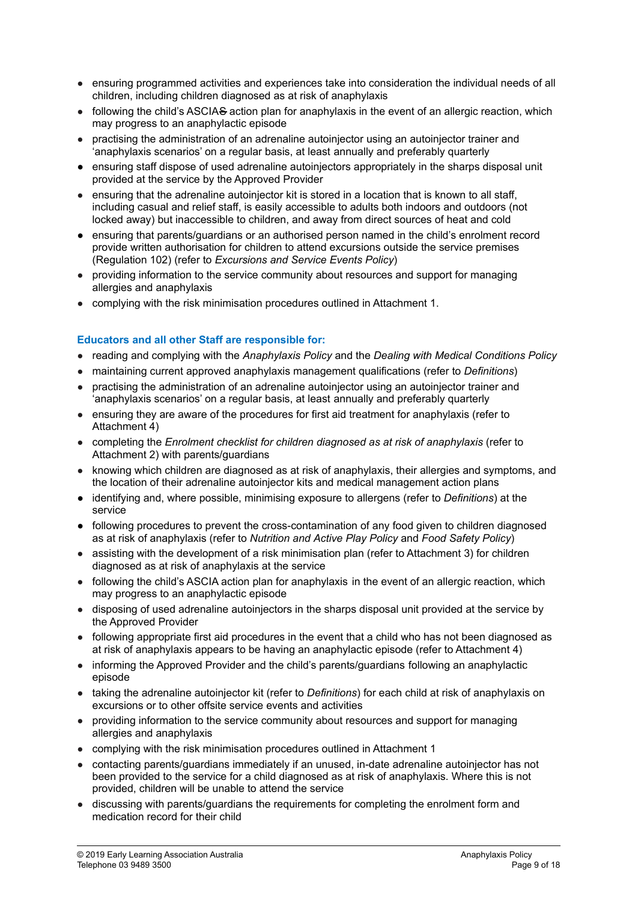- ensuring programmed activities and experiences take into consideration the individual needs of all children, including children diagnosed as at risk of anaphylaxis
- following the child's ASCIAS action plan for anaphylaxis in the event of an allergic reaction, which may progress to an anaphylactic episode
- practising the administration of an adrenaline autoinjector using an autoinjector trainer and 'anaphylaxis scenarios' on a regular basis, at least annually and preferably quarterly
- ensuring staff dispose of used adrenaline autoinjectors appropriately in the sharps disposal unit provided at the service by the Approved Provider
- ensuring that the adrenaline autoinjector kit is stored in a location that is known to all staff, including casual and relief staff, is easily accessible to adults both indoors and outdoors (not locked away) but inaccessible to children, and away from direct sources of heat and cold
- ensuring that parents/guardians or an authorised person named in the child's enrolment record provide written authorisation for children to attend excursions outside the service premises (Regulation 102) (refer to *Excursions and Service Events Policy*)
- providing information to the service community about resources and support for managing allergies and anaphylaxis
- complying with the risk minimisation procedures outlined in Attachment 1.

### **Educators and all other Staff are responsible for:**

- reading and complying with the *Anaphylaxis Policy* and the *Dealing with Medical Conditions Policy*
- maintaining current approved anaphylaxis management qualifications (refer to *Definitions*)
- practising the administration of an adrenaline autoinjector using an autoinjector trainer and 'anaphylaxis scenarios' on a regular basis, at least annually and preferably quarterly
- ensuring they are aware of the procedures for first aid treatment for anaphylaxis (refer to Attachment 4)
- completing the *Enrolment checklist for children diagnosed as at risk of anaphylaxis* (refer to Attachment 2) with parents/guardians
- knowing which children are diagnosed as at risk of anaphylaxis, their allergies and symptoms, and the location of their adrenaline autoinjector kits and medical management action plans
- identifying and, where possible, minimising exposure to allergens (refer to *Definitions*) at the service
- following procedures to prevent the cross-contamination of any food given to children diagnosed as at risk of anaphylaxis (refer to *Nutrition and Active Play Policy* and *Food Safety Policy*)
- assisting with the development of a risk minimisation plan (refer to Attachment 3) for children diagnosed as at risk of anaphylaxis at the service
- following the child's ASCIA action plan for anaphylaxis in the event of an allergic reaction, which may progress to an anaphylactic episode
- disposing of used adrenaline autoinjectors in the sharps disposal unit provided at the service by the Approved Provider
- following appropriate first aid procedures in the event that a child who has not been diagnosed as at risk of anaphylaxis appears to be having an anaphylactic episode (refer to Attachment 4)
- informing the Approved Provider and the child's parents/guardians following an anaphylactic episode
- taking the adrenaline autoinjector kit (refer to *Definitions*) for each child at risk of anaphylaxis on excursions or to other offsite service events and activities
- providing information to the service community about resources and support for managing allergies and anaphylaxis
- complying with the risk minimisation procedures outlined in Attachment 1
- contacting parents/guardians immediately if an unused, in-date adrenaline autoinjector has not been provided to the service for a child diagnosed as at risk of anaphylaxis. Where this is not provided, children will be unable to attend the service
- discussing with parents/guardians the requirements for completing the enrolment form and medication record for their child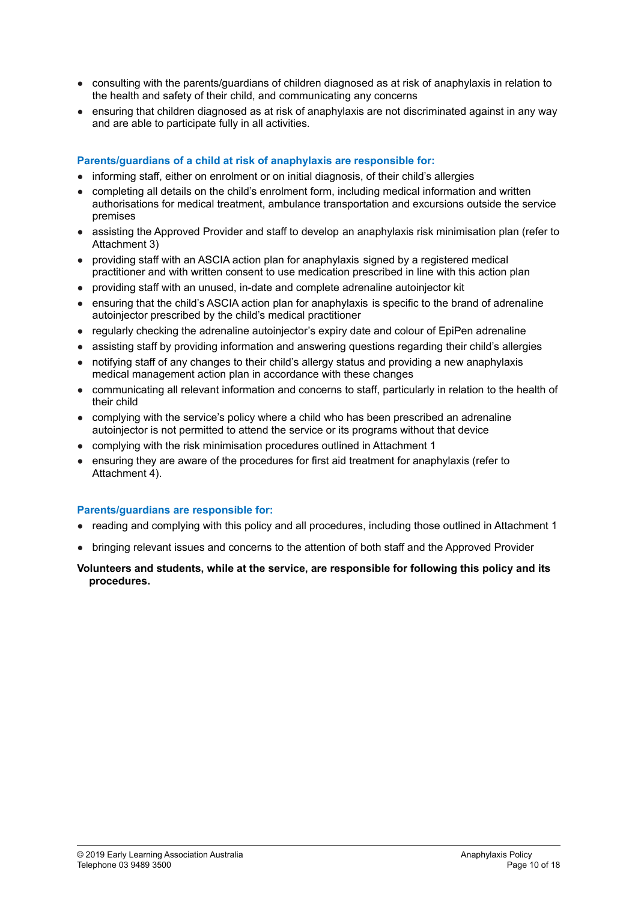- consulting with the parents/guardians of children diagnosed as at risk of anaphylaxis in relation to the health and safety of their child, and communicating any concerns
- ensuring that children diagnosed as at risk of anaphylaxis are not discriminated against in any way and are able to participate fully in all activities.

# **Parents/guardians of a child at risk of anaphylaxis are responsible for:**

- informing staff, either on enrolment or on initial diagnosis, of their child's allergies
- completing all details on the child's enrolment form, including medical information and written authorisations for medical treatment, ambulance transportation and excursions outside the service premises
- assisting the Approved Provider and staff to develop an anaphylaxis risk minimisation plan (refer to Attachment 3)
- providing staff with an ASCIA action plan for anaphylaxis signed by a registered medical practitioner and with written consent to use medication prescribed in line with this action plan
- providing staff with an unused, in-date and complete adrenaline autoinjector kit
- ensuring that the child's ASCIA action plan for anaphylaxis is specific to the brand of adrenaline autoinjector prescribed by the child's medical practitioner
- regularly checking the adrenaline autoinjector's expiry date and colour of EpiPen adrenaline
- assisting staff by providing information and answering questions regarding their child's allergies
- notifving staff of any changes to their child's allergy status and providing a new anaphylaxis medical management action plan in accordance with these changes
- communicating all relevant information and concerns to staff, particularly in relation to the health of their child
- complying with the service's policy where a child who has been prescribed an adrenaline autoinjector is not permitted to attend the service or its programs without that device
- complying with the risk minimisation procedures outlined in Attachment 1
- ensuring they are aware of the procedures for first aid treatment for anaphylaxis (refer to Attachment 4).

### **Parents/guardians are responsible for:**

- reading and complying with this policy and all procedures, including those outlined in Attachment 1
- bringing relevant issues and concerns to the attention of both staff and the Approved Provider

#### **Volunteers and students, while at the service, are responsible for following this policy and its procedures.**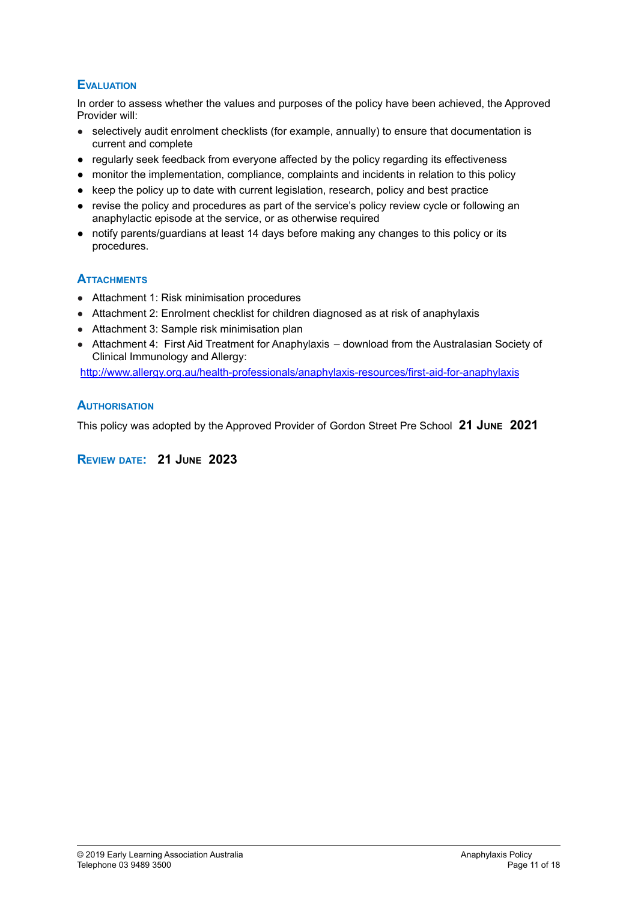# **EVALUATION**

In order to assess whether the values and purposes of the policy have been achieved, the Approved Provider will:

- selectively audit enrolment checklists (for example, annually) to ensure that documentation is current and complete
- regularly seek feedback from everyone affected by the policy regarding its effectiveness
- monitor the implementation, compliance, complaints and incidents in relation to this policy
- keep the policy up to date with current legislation, research, policy and best practice
- **●** revise the policy and procedures as part of the service's policy review cycle or following an anaphylactic episode at the service, or as otherwise required
- **●** notify parents/guardians at least 14 days before making any changes to this policy or its procedures.

# **ATTACHMENTS**

- Attachment 1: Risk minimisation procedures
- Attachment 2: Enrolment checklist for children diagnosed as at risk of anaphylaxis
- Attachment 3: Sample risk minimisation plan
- Attachment 4: First Aid Treatment for Anaphylaxis download from the Australasian Society of Clinical Immunology and Allergy:

<http://www.allergy.org.au/health-professionals/anaphylaxis-resources/first-aid-for-anaphylaxis>

# **AUTHORISATION**

This policy was adopted by the Approved Provider of Gordon Street Pre School **21 JUNE 2021**

### **REVIEW DATE: 21 JUNE 2023**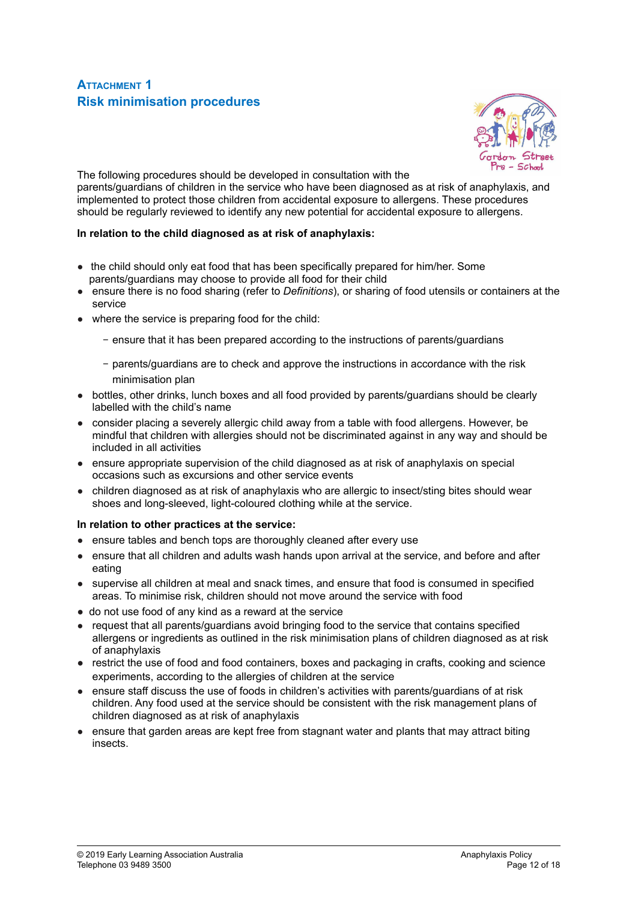# **ATTACHMENT 1 Risk minimisation procedures**



The following procedures should be developed in consultation with the parents/guardians of children in the service who have been diagnosed as at risk of anaphylaxis, and implemented to protect those children from accidental exposure to allergens. These procedures should be regularly reviewed to identify any new potential for accidental exposure to allergens.

#### **In relation to the child diagnosed as at risk of anaphylaxis:**

- the child should only eat food that has been specifically prepared for him/her. Some parents/guardians may choose to provide all food for their child
- ensure there is no food sharing (refer to *Definitions*), or sharing of food utensils or containers at the service
- where the service is preparing food for the child:
	- − ensure that it has been prepared according to the instructions of parents/guardians
	- − parents/guardians are to check and approve the instructions in accordance with the risk minimisation plan
- bottles, other drinks, lunch boxes and all food provided by parents/guardians should be clearly labelled with the child's name
- consider placing a severely allergic child away from a table with food allergens. However, be mindful that children with allergies should not be discriminated against in any way and should be included in all activities
- ensure appropriate supervision of the child diagnosed as at risk of anaphylaxis on special occasions such as excursions and other service events
- children diagnosed as at risk of anaphylaxis who are allergic to insect/sting bites should wear shoes and long-sleeved, light-coloured clothing while at the service.

#### **In relation to other practices at the service:**

- ensure tables and bench tops are thoroughly cleaned after every use
- ensure that all children and adults wash hands upon arrival at the service, and before and after eating
- supervise all children at meal and snack times, and ensure that food is consumed in specified areas. To minimise risk, children should not move around the service with food
- do not use food of any kind as a reward at the service
- request that all parents/guardians avoid bringing food to the service that contains specified allergens or ingredients as outlined in the risk minimisation plans of children diagnosed as at risk of anaphylaxis
- restrict the use of food and food containers, boxes and packaging in crafts, cooking and science experiments, according to the allergies of children at the service
- ensure staff discuss the use of foods in children's activities with parents/guardians of at risk children. Any food used at the service should be consistent with the risk management plans of children diagnosed as at risk of anaphylaxis
- ensure that garden areas are kept free from stagnant water and plants that may attract biting insects.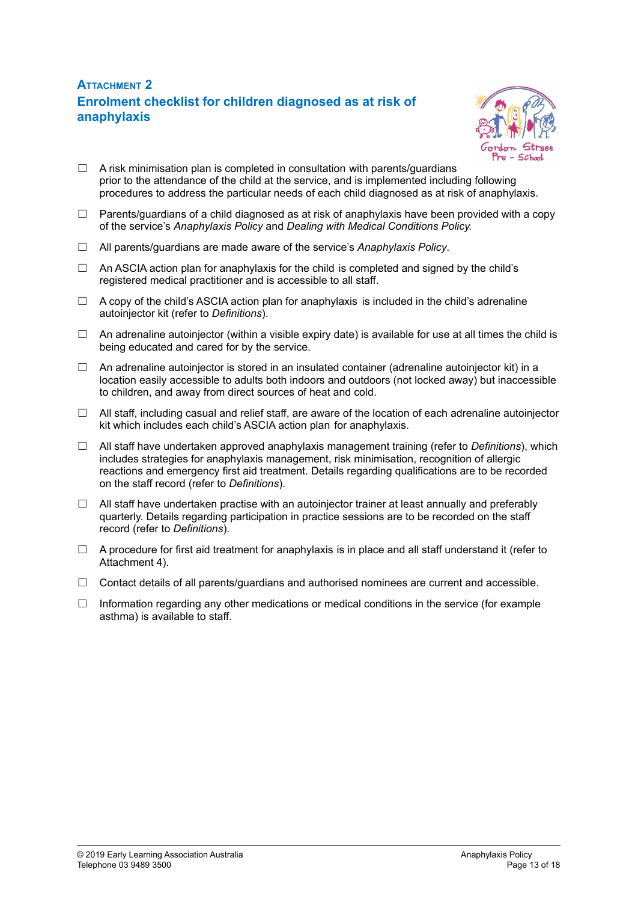# **ATTACHMENT 2 Enrolment checklist for children diagnosed as at risk of anaphylaxis**



- $\Box$  A risk minimisation plan is completed in consultation with parents/guardians prior to the attendance of the child at the service, and is implemented including following procedures to address the particular needs of each child diagnosed as at risk of anaphylaxis.
- $\Box$  Parents/guardians of a child diagnosed as at risk of anaphylaxis have been provided with a copy of the service's *Anaphylaxis Policy* and *Dealing with Medical Conditions Policy.*
- ☐ All parents/guardians are made aware of the service's *Anaphylaxis Policy*.
- $\Box$  An ASCIA action plan for anaphylaxis for the child is completed and signed by the child's registered medical practitioner and is accessible to all staff.
- $\Box$  A copy of the child's ASCIA action plan for anaphylaxis is included in the child's adrenaline autoinjector kit (refer to *Definitions*).
- $\Box$  An adrenaline autoinjector (within a visible expiry date) is available for use at all times the child is being educated and cared for by the service.
- ☐ An adrenaline autoinjector is stored in an insulated container (adrenaline autoinjector kit) in a location easily accessible to adults both indoors and outdoors (not locked away) but inaccessible to children, and away from direct sources of heat and cold.
- $\Box$  All staff, including casual and relief staff, are aware of the location of each adrenaline autoinjector kit which includes each child's ASCIA action plan for anaphylaxis.
- ☐ All staff have undertaken approved anaphylaxis management training (refer to *Definitions*), which includes strategies for anaphylaxis management, risk minimisation, recognition of allergic reactions and emergency first aid treatment. Details regarding qualifications are to be recorded on the staff record (refer to *Definitions*).
- $\Box$  All staff have undertaken practise with an autoinjector trainer at least annually and preferably quarterly. Details regarding participation in practice sessions are to be recorded on the staff record (refer to *Definitions*).
- $\Box$  A procedure for first aid treatment for anaphylaxis is in place and all staff understand it (refer to Attachment 4).
- $\Box$  Contact details of all parents/guardians and authorised nominees are current and accessible.
- $\Box$  Information regarding any other medications or medical conditions in the service (for example asthma) is available to staff.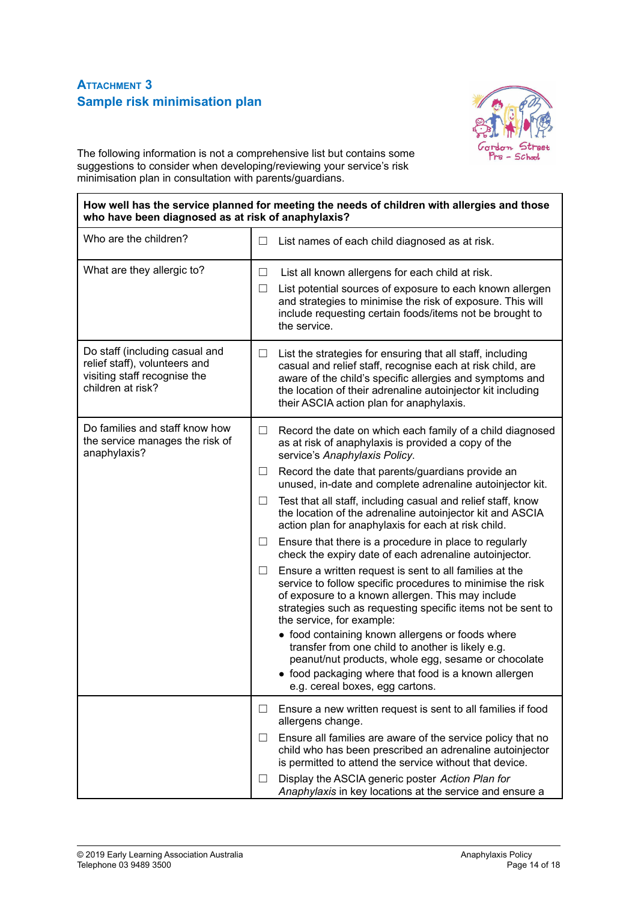# **ATTACHMENT 3 Sample risk minimisation plan**

 $\overline{\Gamma}$ 



٦

The following information is not a comprehensive list but contains some suggestions to consider when developing/reviewing your service's risk minimisation plan in consultation with parents/guardians.

| who have been diagnosed as at risk of anaphylaxis?                                                                   | How well has the service planned for meeting the needs of children with allergies and those                                                                                                                                                                                                                                                                                                                                                                                                                                                                   |
|----------------------------------------------------------------------------------------------------------------------|---------------------------------------------------------------------------------------------------------------------------------------------------------------------------------------------------------------------------------------------------------------------------------------------------------------------------------------------------------------------------------------------------------------------------------------------------------------------------------------------------------------------------------------------------------------|
| Who are the children?                                                                                                | List names of each child diagnosed as at risk.<br>⊔                                                                                                                                                                                                                                                                                                                                                                                                                                                                                                           |
| What are they allergic to?                                                                                           | List all known allergens for each child at risk.<br>⊔<br>List potential sources of exposure to each known allergen<br>⊔<br>and strategies to minimise the risk of exposure. This will<br>include requesting certain foods/items not be brought to                                                                                                                                                                                                                                                                                                             |
| Do staff (including casual and<br>relief staff), volunteers and<br>visiting staff recognise the<br>children at risk? | the service.<br>List the strategies for ensuring that all staff, including<br>⊔<br>casual and relief staff, recognise each at risk child, are<br>aware of the child's specific allergies and symptoms and<br>the location of their adrenaline autoinjector kit including<br>their ASCIA action plan for anaphylaxis.                                                                                                                                                                                                                                          |
| Do families and staff know how<br>the service manages the risk of<br>anaphylaxis?                                    | Record the date on which each family of a child diagnosed<br>$\Box$<br>as at risk of anaphylaxis is provided a copy of the<br>service's Anaphylaxis Policy.<br>Record the date that parents/guardians provide an<br>$\Box$<br>unused, in-date and complete adrenaline autoinjector kit.<br>Test that all staff, including casual and relief staff, know<br>$\Box$<br>the location of the adrenaline autoinjector kit and ASCIA<br>action plan for anaphylaxis for each at risk child.<br>Ensure that there is a procedure in place to regularly<br>⊔          |
|                                                                                                                      | check the expiry date of each adrenaline autoinjector.<br>Ensure a written request is sent to all families at the<br>ப<br>service to follow specific procedures to minimise the risk<br>of exposure to a known allergen. This may include<br>strategies such as requesting specific items not be sent to<br>the service, for example:<br>• food containing known allergens or foods where<br>transfer from one child to another is likely e.g.<br>peanut/nut products, whole egg, sesame or chocolate<br>• food packaging where that food is a known allergen |
|                                                                                                                      | e.g. cereal boxes, egg cartons.<br>Ensure a new written request is sent to all families if food<br>ப<br>allergens change.<br>Ensure all families are aware of the service policy that no<br>ш<br>child who has been prescribed an adrenaline autoinjector<br>is permitted to attend the service without that device.<br>Display the ASCIA generic poster Action Plan for<br>□<br>Anaphylaxis in key locations at the service and ensure a                                                                                                                     |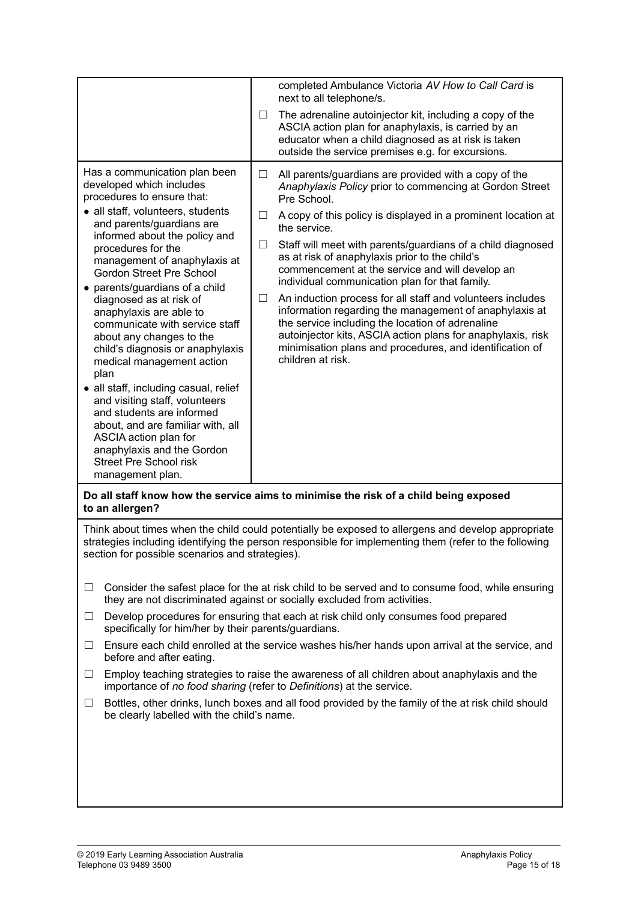|                                                                                                                                                                                                                                                                                                                                                                                                                                                                                                                                                                                                                                                                                                                                                                                                   | completed Ambulance Victoria AV How to Call Card is<br>next to all telephone/s.                                                                                                                                                                                                                                                                                                                                                                                                                                                                                                                                                                                                                                                                                                                  |
|---------------------------------------------------------------------------------------------------------------------------------------------------------------------------------------------------------------------------------------------------------------------------------------------------------------------------------------------------------------------------------------------------------------------------------------------------------------------------------------------------------------------------------------------------------------------------------------------------------------------------------------------------------------------------------------------------------------------------------------------------------------------------------------------------|--------------------------------------------------------------------------------------------------------------------------------------------------------------------------------------------------------------------------------------------------------------------------------------------------------------------------------------------------------------------------------------------------------------------------------------------------------------------------------------------------------------------------------------------------------------------------------------------------------------------------------------------------------------------------------------------------------------------------------------------------------------------------------------------------|
|                                                                                                                                                                                                                                                                                                                                                                                                                                                                                                                                                                                                                                                                                                                                                                                                   | The adrenaline autoinjector kit, including a copy of the<br>ப<br>ASCIA action plan for anaphylaxis, is carried by an<br>educator when a child diagnosed as at risk is taken<br>outside the service premises e.g. for excursions.                                                                                                                                                                                                                                                                                                                                                                                                                                                                                                                                                                 |
| Has a communication plan been<br>developed which includes<br>procedures to ensure that:<br>• all staff, volunteers, students<br>and parents/guardians are<br>informed about the policy and<br>procedures for the<br>management of anaphylaxis at<br><b>Gordon Street Pre School</b><br>parents/guardians of a child<br>$\bullet$<br>diagnosed as at risk of<br>anaphylaxis are able to<br>communicate with service staff<br>about any changes to the<br>child's diagnosis or anaphylaxis<br>medical management action<br>plan<br>all staff, including casual, relief<br>$\bullet$<br>and visiting staff, volunteers<br>and students are informed<br>about, and are familiar with, all<br>ASCIA action plan for<br>anaphylaxis and the Gordon<br><b>Street Pre School risk</b><br>management plan. | All parents/guardians are provided with a copy of the<br>$\Box$<br>Anaphylaxis Policy prior to commencing at Gordon Street<br>Pre School.<br>A copy of this policy is displayed in a prominent location at<br>$\Box$<br>the service.<br>Staff will meet with parents/guardians of a child diagnosed<br>⊔<br>as at risk of anaphylaxis prior to the child's<br>commencement at the service and will develop an<br>individual communication plan for that family.<br>An induction process for all staff and volunteers includes<br>ப<br>information regarding the management of anaphylaxis at<br>the service including the location of adrenaline<br>autoinjector kits, ASCIA action plans for anaphylaxis, risk<br>minimisation plans and procedures, and identification of<br>children at risk. |
| to an allergen?                                                                                                                                                                                                                                                                                                                                                                                                                                                                                                                                                                                                                                                                                                                                                                                   | Do all staff know how the service aims to minimise the risk of a child being exposed                                                                                                                                                                                                                                                                                                                                                                                                                                                                                                                                                                                                                                                                                                             |
| section for possible scenarios and strategies).                                                                                                                                                                                                                                                                                                                                                                                                                                                                                                                                                                                                                                                                                                                                                   | Think about times when the child could potentially be exposed to allergens and develop appropriate<br>strategies including identifying the person responsible for implementing them (refer to the following                                                                                                                                                                                                                                                                                                                                                                                                                                                                                                                                                                                      |
| $\Box$                                                                                                                                                                                                                                                                                                                                                                                                                                                                                                                                                                                                                                                                                                                                                                                            | Consider the safest place for the at risk child to be served and to consume food, while ensuring<br>they are not discriminated against or socially excluded from activities.                                                                                                                                                                                                                                                                                                                                                                                                                                                                                                                                                                                                                     |
| $\Box$<br>specifically for him/her by their parents/guardians.                                                                                                                                                                                                                                                                                                                                                                                                                                                                                                                                                                                                                                                                                                                                    | Develop procedures for ensuring that each at risk child only consumes food prepared                                                                                                                                                                                                                                                                                                                                                                                                                                                                                                                                                                                                                                                                                                              |
| ⊔<br>before and after eating.                                                                                                                                                                                                                                                                                                                                                                                                                                                                                                                                                                                                                                                                                                                                                                     | Ensure each child enrolled at the service washes his/her hands upon arrival at the service, and                                                                                                                                                                                                                                                                                                                                                                                                                                                                                                                                                                                                                                                                                                  |
| $\Box$                                                                                                                                                                                                                                                                                                                                                                                                                                                                                                                                                                                                                                                                                                                                                                                            | Employ teaching strategies to raise the awareness of all children about anaphylaxis and the<br>importance of no food sharing (refer to Definitions) at the service.                                                                                                                                                                                                                                                                                                                                                                                                                                                                                                                                                                                                                              |
| ப                                                                                                                                                                                                                                                                                                                                                                                                                                                                                                                                                                                                                                                                                                                                                                                                 | Bottles, other drinks, lunch boxes and all food provided by the family of the at risk child should                                                                                                                                                                                                                                                                                                                                                                                                                                                                                                                                                                                                                                                                                               |

be clearly labelled with the child's name.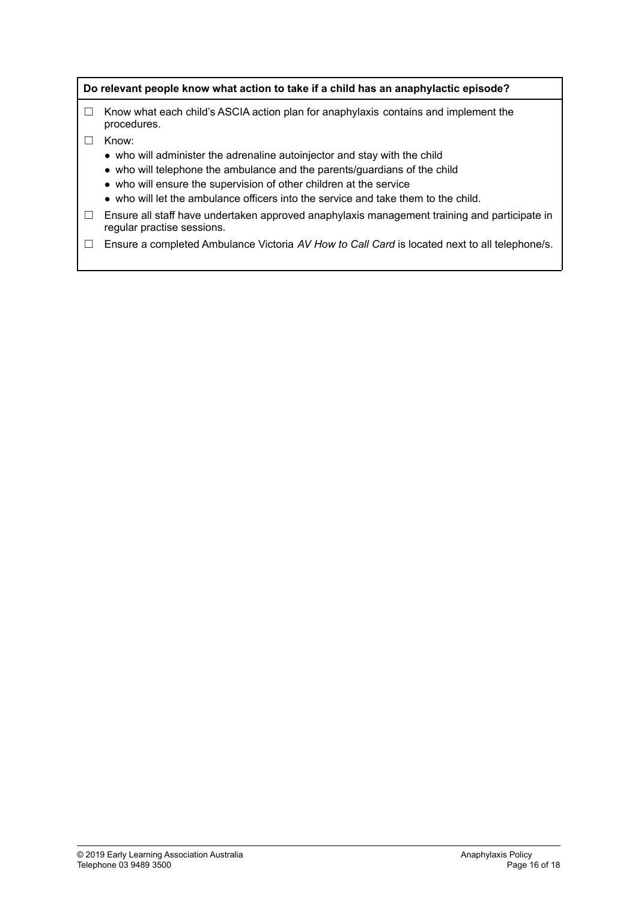#### **Do relevant people know what action to take if a child has an anaphylactic episode?**

- $\Box$  Know what each child's ASCIA action plan for anaphylaxis contains and implement the procedures.
- ☐ Know:
	- who will administer the adrenaline autoinjector and stay with the child
	- who will telephone the ambulance and the parents/guardians of the child
	- who will ensure the supervision of other children at the service
	- who will let the ambulance officers into the service and take them to the child.
- □ Ensure all staff have undertaken approved anaphylaxis management training and participate in regular practise sessions.
- ☐ Ensure a completed Ambulance Victoria *AV How to Call Card* is located next to all telephone/s.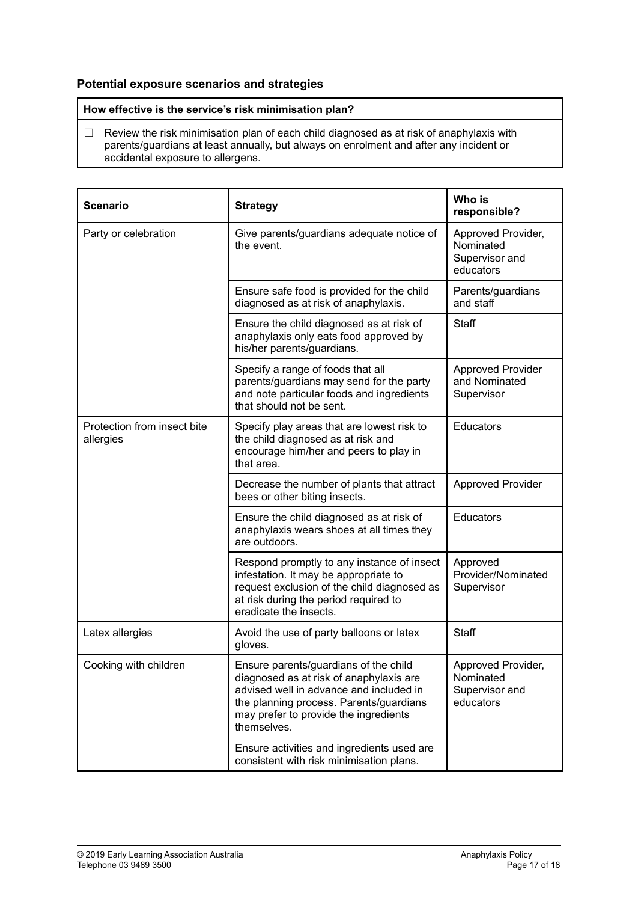# **Potential exposure scenarios and strategies**

**How effective is the service's risk minimisation plan?**

 $\Box$  Review the risk minimisation plan of each child diagnosed as at risk of anaphylaxis with parents/guardians at least annually, but always on enrolment and after any incident or accidental exposure to allergens.

| <b>Scenario</b>                          | <b>Strategy</b>                                                                                                                                                                                                                | Who is<br>responsible?                                         |
|------------------------------------------|--------------------------------------------------------------------------------------------------------------------------------------------------------------------------------------------------------------------------------|----------------------------------------------------------------|
| Party or celebration                     | Give parents/guardians adequate notice of<br>the event.                                                                                                                                                                        | Approved Provider,<br>Nominated<br>Supervisor and<br>educators |
|                                          | Ensure safe food is provided for the child<br>diagnosed as at risk of anaphylaxis.                                                                                                                                             | Parents/guardians<br>and staff                                 |
|                                          | Ensure the child diagnosed as at risk of<br>anaphylaxis only eats food approved by<br>his/her parents/guardians.                                                                                                               | Staff                                                          |
|                                          | Specify a range of foods that all<br>parents/guardians may send for the party<br>and note particular foods and ingredients<br>that should not be sent.                                                                         | <b>Approved Provider</b><br>and Nominated<br>Supervisor        |
| Protection from insect bite<br>allergies | Specify play areas that are lowest risk to<br>the child diagnosed as at risk and<br>encourage him/her and peers to play in<br>that area.                                                                                       | Educators                                                      |
|                                          | Decrease the number of plants that attract<br>bees or other biting insects.                                                                                                                                                    | <b>Approved Provider</b>                                       |
|                                          | Ensure the child diagnosed as at risk of<br>anaphylaxis wears shoes at all times they<br>are outdoors.                                                                                                                         | Educators                                                      |
|                                          | Respond promptly to any instance of insect<br>infestation. It may be appropriate to<br>request exclusion of the child diagnosed as<br>at risk during the period required to<br>eradicate the insects.                          | Approved<br>Provider/Nominated<br>Supervisor                   |
| Latex allergies                          | Avoid the use of party balloons or latex<br>gloves.                                                                                                                                                                            | Staff                                                          |
| Cooking with children                    | Ensure parents/guardians of the child<br>diagnosed as at risk of anaphylaxis are<br>advised well in advance and included in<br>the planning process. Parents/guardians<br>may prefer to provide the ingredients<br>themselves. | Approved Provider,<br>Nominated<br>Supervisor and<br>educators |
|                                          | Ensure activities and ingredients used are<br>consistent with risk minimisation plans.                                                                                                                                         |                                                                |